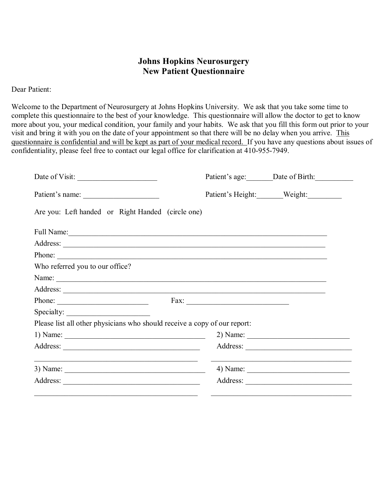## **Johns Hopkins Neurosurgery New Patient Questionnaire**

Dear Patient:

Welcome to the Department of Neurosurgery at Johns Hopkins University. We ask that you take some time to complete this questionnaire to the best of your knowledge. This questionnaire will allow the doctor to get to know more about you, your medical condition, your family and your habits. We ask that you fill this form out prior to your visit and bring it with you on the date of your appointment so that there will be no delay when you arrive. This questionnaire is confidential and will be kept as part of your medical record. If you have any questions about issues of confidentiality, please feel free to contact our legal office for clarification at 410-955-7949.

| Date of Visit:                                                                                                                                  | Patient's age: ________ Date of Birth: ____________ |
|-------------------------------------------------------------------------------------------------------------------------------------------------|-----------------------------------------------------|
| Patient's name:                                                                                                                                 | Patient's Height: Weight:                           |
| Are you: Left handed or Right Handed (circle one)                                                                                               |                                                     |
|                                                                                                                                                 |                                                     |
|                                                                                                                                                 |                                                     |
| Phone:                                                                                                                                          |                                                     |
| Who referred you to our office?                                                                                                                 |                                                     |
|                                                                                                                                                 |                                                     |
|                                                                                                                                                 |                                                     |
| Phone:                                                                                                                                          |                                                     |
| Specialty:                                                                                                                                      |                                                     |
| Please list all other physicians who should receive a copy of our report:                                                                       |                                                     |
|                                                                                                                                                 |                                                     |
|                                                                                                                                                 |                                                     |
| <u> 1989 - Johann Harry Harry Harry Harry Harry Harry Harry Harry Harry Harry Harry Harry Harry Harry Harry Harry</u><br>3) Name: $\frac{1}{1}$ |                                                     |
|                                                                                                                                                 |                                                     |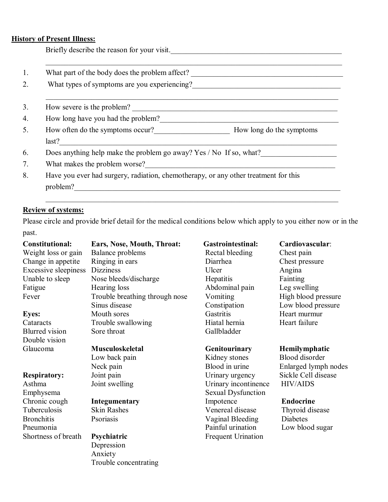#### **History of Present Illness:**

Briefly describe the reason for your visit.\_\_\_\_\_\_\_\_\_\_\_\_\_\_\_\_\_\_\_\_\_\_\_\_\_\_\_\_\_\_\_\_\_\_\_\_\_\_\_\_\_\_\_\_\_

|                                    | What part of the body does the problem affect? |                                                                                     |
|------------------------------------|------------------------------------------------|-------------------------------------------------------------------------------------|
|                                    | What types of symptoms are you experiencing?   |                                                                                     |
| How severe is the problem?         |                                                |                                                                                     |
| How long have you had the problem? |                                                |                                                                                     |
|                                    | How often do the symptoms occur?               | How long do the symptoms                                                            |
| last?                              |                                                |                                                                                     |
|                                    |                                                | Does anything help make the problem go away? Yes / No If so, what?                  |
| What makes the problem worse?      |                                                |                                                                                     |
|                                    |                                                | Have you ever had surgery, radiation, chemotherapy, or any other treatment for this |
| problem?                           |                                                |                                                                                     |

## **Review of systems:**

Please circle and provide brief detail for the medical conditions below which apply to you either now or in the past.

| <b>Constitutional:</b>                  | Ears, Nose, Mouth, Throat:     | <b>Gastrointestinal:</b>  | Cardiovascular:       |
|-----------------------------------------|--------------------------------|---------------------------|-----------------------|
| Weight loss or gain<br>Balance problems |                                | Rectal bleeding           | Chest pain            |
| Ringing in ears<br>Change in appetite   |                                | Diarrhea                  | Chest pressure        |
| <b>Excessive sleepiness</b>             | <b>Dizziness</b>               | Ulcer                     | Angina                |
| Unable to sleep                         | Nose bleeds/discharge          | Hepatitis                 | Fainting              |
| Fatigue                                 | Hearing loss                   | Abdominal pain            | Leg swelling          |
| Fever                                   | Trouble breathing through nose | Vomiting                  | High blood pressure   |
|                                         | Sinus disease                  | Constipation              | Low blood pressure    |
| <b>Eyes:</b>                            | Mouth sores                    | Gastritis                 | Heart murmur          |
| Cataracts                               | Trouble swallowing             | Hiatal hernia             | Heart failure         |
| <b>Blurred</b> vision                   | Sore throat                    | Gallbladder               |                       |
| Double vision                           |                                |                           |                       |
| Glaucoma                                | <b>Musculoskeletal</b>         | Genitourinary             | Hemilymphatic         |
|                                         | Low back pain                  | Kidney stones             | <b>Blood</b> disorder |
|                                         | Neck pain                      | Blood in urine            | Enlarged lymph nodes  |
| <b>Respiratory:</b>                     | Joint pain                     | Urinary urgency           | Sickle Cell disease   |
| Joint swelling<br>Asthma                |                                | Urinary incontinence      | <b>HIV/AIDS</b>       |
| Emphysema                               |                                | <b>Sexual Dysfunction</b> |                       |
| Chronic cough                           | <b>Integumentary</b>           | Impotence                 | <b>Endocrine</b>      |
| Tuberculosis                            | <b>Skin Rashes</b>             | Venereal disease          | Thyroid disease       |
| <b>Bronchitis</b>                       | Psoriasis                      | Vaginal Bleeding          | Diabetes              |
| Pneumonia                               |                                | Painful urination         | Low blood sugar       |
| Shortness of breath                     | Psychiatric                    | <b>Frequent Urination</b> |                       |
|                                         | Depression                     |                           |                       |
|                                         | Anxiety                        |                           |                       |
|                                         | Trouble concentrating          |                           |                       |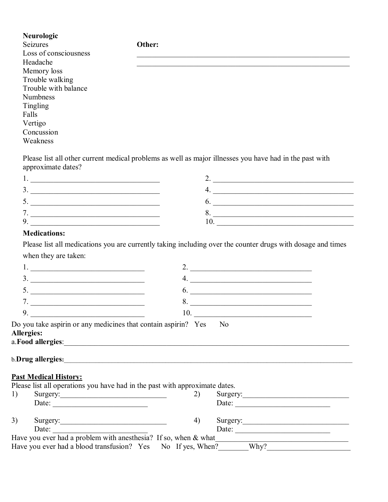**Neurologic** Seizures **Other:** Loss of consciousness  $Headache$ Memory loss Trouble walking Trouble with balance Numbness Tingling Falls Vertigo Concussion Weakness

Please list all other current medical problems as well as major illnesses you have had in the past with approximate dates?

| $\overline{\phantom{a}}$ |  |
|--------------------------|--|
|                          |  |
|                          |  |

#### **Medications:**

Please list all medications you are currently taking including over the counter drugs with dosage and times when they are taken:

|    |                                                                                                                                                                                                                                                                                                                                 |    | the control of the control of the control of the control of the control of the control of |  |
|----|---------------------------------------------------------------------------------------------------------------------------------------------------------------------------------------------------------------------------------------------------------------------------------------------------------------------------------|----|-------------------------------------------------------------------------------------------|--|
|    | $\frac{3}{2}$ $\frac{3}{2}$ $\frac{3}{2}$ $\frac{3}{2}$ $\frac{3}{2}$ $\frac{3}{2}$ $\frac{3}{2}$ $\frac{3}{2}$ $\frac{3}{2}$ $\frac{3}{2}$ $\frac{3}{2}$ $\frac{3}{2}$ $\frac{3}{2}$ $\frac{3}{2}$ $\frac{3}{2}$ $\frac{3}{2}$ $\frac{3}{2}$ $\frac{3}{2}$ $\frac{3}{2}$ $\frac{3}{2}$ $\frac{3}{2}$ $\frac{3}{2}$             | 4. | <u> 1980 - Andrea Andrew Maria (h. 1980).</u>                                             |  |
|    |                                                                                                                                                                                                                                                                                                                                 |    | $\overline{6.}$                                                                           |  |
|    | 7. $\qquad \qquad$                                                                                                                                                                                                                                                                                                              |    |                                                                                           |  |
|    | 9. $\qquad \qquad$                                                                                                                                                                                                                                                                                                              |    | $\begin{array}{c}\n10. \quad \textcolor{blue}{\textbf{10}}\n\end{array}$                  |  |
|    | Do you take aspiring or any medicines that contain aspirin? Yes No<br><b>Allergies:</b><br>a. Food allergies: <u>and a set of the set of the set of the set of the set of the set of the set of the set of the set of the set of the set of the set of the set of the set of the set of the set of the set of the set of th</u> |    |                                                                                           |  |
|    | b.Drug allergies:                                                                                                                                                                                                                                                                                                               |    |                                                                                           |  |
|    | <b>Past Medical History:</b>                                                                                                                                                                                                                                                                                                    |    |                                                                                           |  |
|    | Please list all operations you have had in the past with approximate dates.                                                                                                                                                                                                                                                     |    |                                                                                           |  |
| 1) | Surgery:                                                                                                                                                                                                                                                                                                                        | 2) | Surgery:                                                                                  |  |
|    | Date: $\qquad \qquad$                                                                                                                                                                                                                                                                                                           |    | Date: $\qquad \qquad$                                                                     |  |
| 3) |                                                                                                                                                                                                                                                                                                                                 | 4) | Surgery:                                                                                  |  |
|    | Date:                                                                                                                                                                                                                                                                                                                           |    | Date: $\frac{1}{\sqrt{1-\frac{1}{2}} \cdot \frac{1}{2}}$                                  |  |
|    | Have you ever had a problem with an esthesia? If so, when $\&$ what                                                                                                                                                                                                                                                             |    |                                                                                           |  |
|    | Have you ever had a blood transfusion? Yes No If yes, When?______Why?____________                                                                                                                                                                                                                                               |    |                                                                                           |  |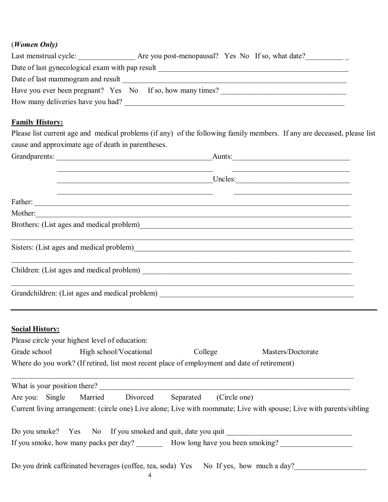## (*Women Only)*

| Last menstrual cycle:                                      | Are you post-menopausal? Yes No If so, what date? |
|------------------------------------------------------------|---------------------------------------------------|
| Date of last gynecological exam with pap result            |                                                   |
| Date of last mammogram and result                          |                                                   |
| Have you ever been pregnant? Yes No If so, how many times? |                                                   |
| How many deliveries have you had?                          |                                                   |

## **Family History:**

Please list current age and medical problems (if any) of the following family members. If any are deceased, please list cause and approximate age of death in parentheses.

| Grandparents:                                                                                                  | Aunts:  |  |  |
|----------------------------------------------------------------------------------------------------------------|---------|--|--|
|                                                                                                                | Uncles: |  |  |
|                                                                                                                |         |  |  |
| Mother:                                                                                                        |         |  |  |
| Brothers: (List ages and medical problem)<br><u>Example 2014</u>                                               |         |  |  |
| Sisters: (List ages and medical problem)<br><u>Listers:</u> (List ages and medical problem)<br><u>Listers:</u> |         |  |  |
|                                                                                                                |         |  |  |
| Grandchildren: (List ages and medical problem) __________________________________                              |         |  |  |

# **Social History:**

| Please circle your highest level of education:                                               |  |  |           |              |                                                                                                                      |
|----------------------------------------------------------------------------------------------|--|--|-----------|--------------|----------------------------------------------------------------------------------------------------------------------|
| Grade school High school/Vocational<br>College<br>Masters/Doctorate                          |  |  |           |              |                                                                                                                      |
| Where do you work? (If retired, list most recent place of employment and date of retirement) |  |  |           |              |                                                                                                                      |
| What is your position there?                                                                 |  |  |           |              |                                                                                                                      |
| Are you: Single Married Divorced                                                             |  |  | Separated | (Circle one) |                                                                                                                      |
|                                                                                              |  |  |           |              | Current living arrangement: (circle one) Live alone; Live with roommate; Live with spouse; Live with parents/sibling |
|                                                                                              |  |  |           |              | Do you smoke? Yes No If you smoked and quit, date you quit                                                           |
|                                                                                              |  |  |           |              | If you smoke, how many packs per day? How long have you been smoking?                                                |
| Do you drink caffeinated beverages (coffee, tea, soda) Yes No If yes, how much a day?        |  |  |           |              |                                                                                                                      |